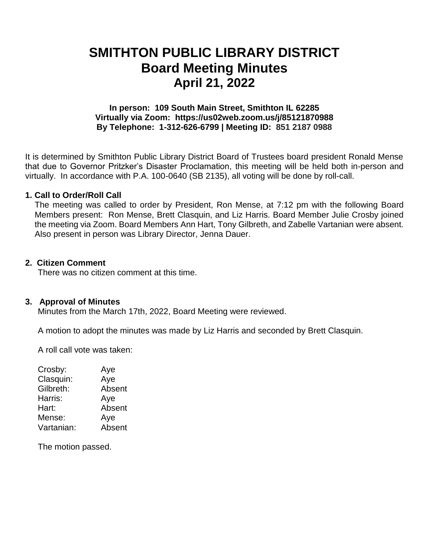# **SMITHTON PUBLIC LIBRARY DISTRICT Board Meeting Minutes April 21, 2022**

# **In person: 109 South Main Street, Smithton IL 62285 Virtually via Zoom: https://us02web.zoom.us/j/85121870988 By Telephone: 1-312-626-6799 | Meeting ID: 851 2187 0988**

It is determined by Smithton Public Library District Board of Trustees board president Ronald Mense that due to Governor Pritzker's Disaster Proclamation, this meeting will be held both in-person and virtually. In accordance with P.A. 100-0640 (SB 2135), all voting will be done by roll-call.

# **1. Call to Order/Roll Call**

The meeting was called to order by President, Ron Mense, at 7:12 pm with the following Board Members present: Ron Mense, Brett Clasquin, and Liz Harris. Board Member Julie Crosby joined the meeting via Zoom. Board Members Ann Hart, Tony Gilbreth, and Zabelle Vartanian were absent. Also present in person was Library Director, Jenna Dauer.

# **2. Citizen Comment**

There was no citizen comment at this time.

#### **3. Approval of Minutes**

Minutes from the March 17th, 2022, Board Meeting were reviewed.

A motion to adopt the minutes was made by Liz Harris and seconded by Brett Clasquin.

A roll call vote was taken:

| Aye    |
|--------|
| Aye    |
| Absent |
| Aye    |
| Absent |
| Aye    |
| Absent |
|        |

The motion passed.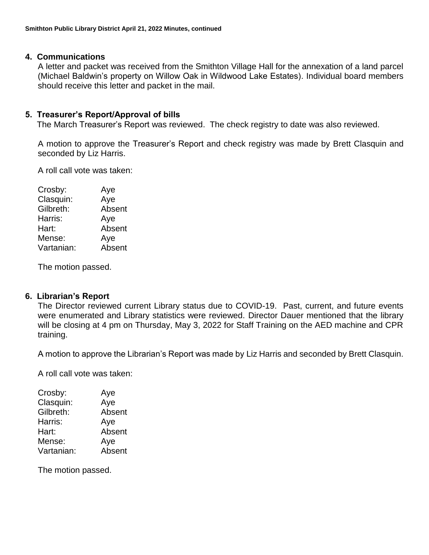# **4. Communications**

A letter and packet was received from the Smithton Village Hall for the annexation of a land parcel (Michael Baldwin's property on Willow Oak in Wildwood Lake Estates). Individual board members should receive this letter and packet in the mail.

# **5. Treasurer's Report/Approval of bills**

The March Treasurer's Report was reviewed. The check registry to date was also reviewed.

A motion to approve the Treasurer's Report and check registry was made by Brett Clasquin and seconded by Liz Harris.

A roll call vote was taken:

| Crosby:    | Aye    |
|------------|--------|
| Clasquin:  | Aye    |
| Gilbreth:  | Absent |
| Harris:    | Aye    |
| Hart:      | Absent |
| Mense:     | Aye    |
| Vartanian: | Absent |
|            |        |

The motion passed.

#### **6. Librarian's Report**

The Director reviewed current Library status due to COVID-19. Past, current, and future events were enumerated and Library statistics were reviewed. Director Dauer mentioned that the library will be closing at 4 pm on Thursday, May 3, 2022 for Staff Training on the AED machine and CPR training.

A motion to approve the Librarian's Report was made by Liz Harris and seconded by Brett Clasquin.

A roll call vote was taken:

| Crosby:    | Aye    |
|------------|--------|
| Clasquin:  | Aye    |
| Gilbreth:  | Absent |
| Harris:    | Aye    |
| Hart:      | Absent |
| Mense:     | Aye    |
| Vartanian: | Absent |
|            |        |

The motion passed.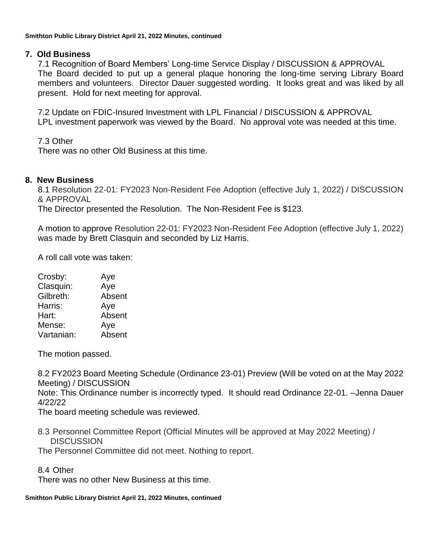# **7. Old Business**

7.1 Recognition of Board Members' Long-time Service Display / DISCUSSION & APPROVAL The Board decided to put up a general plaque honoring the long-time serving Library Board members and volunteers. Director Dauer suggested wording. It looks great and was liked by all present. Hold for next meeting for approval.

7.2 Update on FDIC-Insured Investment with LPL Financial / DISCUSSION & APPROVAL LPL investment paperwork was viewed by the Board. No approval vote was needed at this time.

7.3 Other

There was no other Old Business at this time.

# **8. New Business**

8.1 Resolution 22-01: FY2023 Non-Resident Fee Adoption (effective July 1, 2022) / DISCUSSION & APPROVAL

The Director presented the Resolution. The Non-Resident Fee is \$123.

A motion to approve Resolution 22-01: FY2023 Non-Resident Fee Adoption (effective July 1, 2022) was made by Brett Clasquin and seconded by Liz Harris.

A roll call vote was taken:

| Crosby:    | Aye    |
|------------|--------|
| Clasquin:  | Aye    |
| Gilbreth:  | Absent |
| Harris:    | Aye    |
| Hart:      | Absent |
| Mense:     | Aye    |
| Vartanian: | Absent |

The motion passed.

8.2 FY2023 Board Meeting Schedule (Ordinance 23-01) Preview (Will be voted on at the May 2022 Meeting) / DISCUSSION Note: This Ordinance number is incorrectly typed. It should read Ordinance 22-01. –Jenna Dauer 4/22/22

The board meeting schedule was reviewed.

8.3 Personnel Committee Report (Official Minutes will be approved at May 2022 Meeting) / **DISCUSSION** 

The Personnel Committee did not meet. Nothing to report.

8.4 Other

There was no other New Business at this time.

#### **Smithton Public Library District April 21, 2022 Minutes, continued**